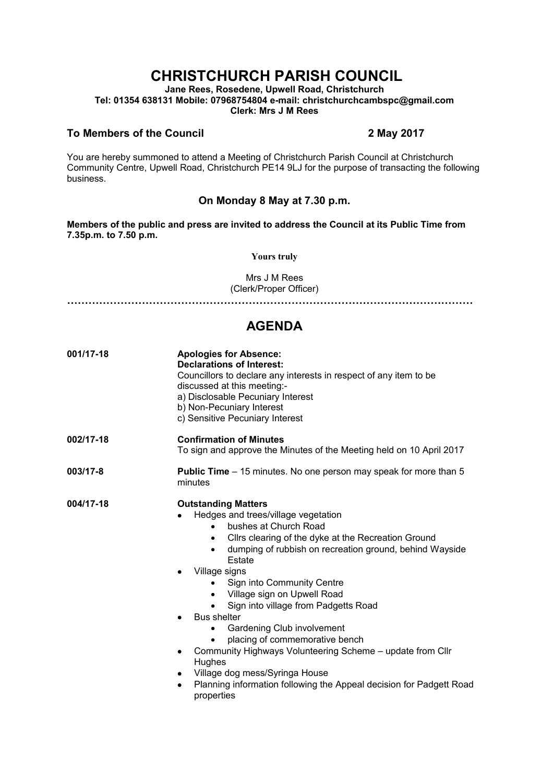# **CHRISTCHURCH PARISH COUNCIL**

**Jane Rees, Rosedene, Upwell Road, Christchurch Tel: 01354 638131 Mobile: 07968754804 e-mail: christchurchcambspc@gmail.com Clerk: Mrs J M Rees**

#### **To Members of the Council 2 May 2017**

You are hereby summoned to attend a Meeting of Christchurch Parish Council at Christchurch Community Centre, Upwell Road, Christchurch PE14 9LJ for the purpose of transacting the following business.

### **On Monday 8 May at 7.30 p.m.**

**Members of the public and press are invited to address the Council at its Public Time from 7.35p.m. to 7.50 p.m.** 

**Yours truly**

Mrs J M Rees (Clerk/Proper Officer)

**……………………………………………………………………………………………………**

## **AGENDA**

| 001/17-18 | <b>Apologies for Absence:</b><br><b>Declarations of Interest:</b><br>Councillors to declare any interests in respect of any item to be<br>discussed at this meeting:-<br>a) Disclosable Pecuniary Interest<br>b) Non-Pecuniary Interest<br>c) Sensitive Pecuniary Interest                                                                                                                                                                                                                                                                                                                                                                                   |
|-----------|--------------------------------------------------------------------------------------------------------------------------------------------------------------------------------------------------------------------------------------------------------------------------------------------------------------------------------------------------------------------------------------------------------------------------------------------------------------------------------------------------------------------------------------------------------------------------------------------------------------------------------------------------------------|
| 002/17-18 | <b>Confirmation of Minutes</b><br>To sign and approve the Minutes of the Meeting held on 10 April 2017                                                                                                                                                                                                                                                                                                                                                                                                                                                                                                                                                       |
| 003/17-8  | <b>Public Time</b> – 15 minutes. No one person may speak for more than 5<br>minutes                                                                                                                                                                                                                                                                                                                                                                                                                                                                                                                                                                          |
| 004/17-18 | <b>Outstanding Matters</b><br>Hedges and trees/village vegetation<br>bushes at Church Road<br>Cllrs clearing of the dyke at the Recreation Ground<br>٠<br>dumping of rubbish on recreation ground, behind Wayside<br>$\bullet$<br>Estate<br>Village signs<br>Sign into Community Centre<br>Village sign on Upwell Road<br>٠<br>Sign into village from Padgetts Road<br><b>Bus shelter</b><br>Gardening Club involvement<br>placing of commemorative bench<br>Community Highways Volunteering Scheme - update from Cllr<br>٠<br>Hughes<br>Village dog mess/Syringa House<br>Planning information following the Appeal decision for Padgett Road<br>properties |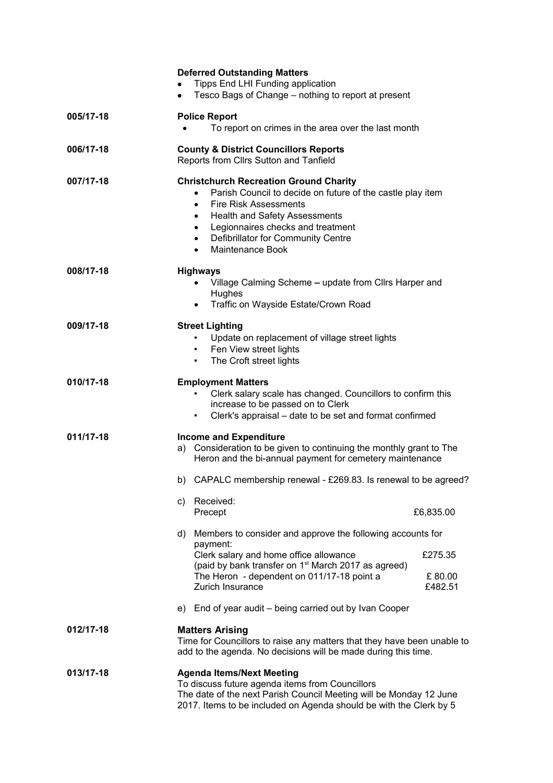|           | <b>Deferred Outstanding Matters</b><br>Tipps End LHI Funding application<br>Tesco Bags of Change - nothing to report at present                                                                                                                                                                                               |
|-----------|-------------------------------------------------------------------------------------------------------------------------------------------------------------------------------------------------------------------------------------------------------------------------------------------------------------------------------|
| 005/17-18 | <b>Police Report</b><br>To report on crimes in the area over the last month                                                                                                                                                                                                                                                   |
| 006/17-18 | <b>County &amp; District Councillors Reports</b><br>Reports from Cllrs Sutton and Tanfield                                                                                                                                                                                                                                    |
| 007/17-18 | <b>Christchurch Recreation Ground Charity</b><br>Parish Council to decide on future of the castle play item<br><b>Fire Risk Assessments</b><br>$\bullet$<br><b>Health and Safety Assessments</b><br>$\bullet$<br>Legionnaires checks and treatment<br>$\bullet$<br>• Defibrillator for Community Centre<br>• Maintenance Book |
| 008/17-18 | <b>Highways</b><br>Village Calming Scheme - update from Cllrs Harper and<br>Hughes<br>Traffic on Wayside Estate/Crown Road<br>$\bullet$                                                                                                                                                                                       |
| 009/17-18 | <b>Street Lighting</b><br>Update on replacement of village street lights<br>Fen View street lights<br>$\bullet$<br>The Croft street lights<br>$\bullet$                                                                                                                                                                       |
| 010/17-18 | <b>Employment Matters</b><br>Clerk salary scale has changed. Councillors to confirm this<br>increase to be passed on to Clerk<br>Clerk's appraisal – date to be set and format confirmed<br>$\bullet$                                                                                                                         |
| 011/17-18 | <b>Income and Expenditure</b><br>Consideration to be given to continuing the monthly grant to The<br>a)<br>Heron and the bi-annual payment for cemetery maintenance                                                                                                                                                           |
|           | b) CAPALC membership renewal - £269.83. Is renewal to be agreed?                                                                                                                                                                                                                                                              |
|           | c) Received:<br>Precept<br>£6,835.00                                                                                                                                                                                                                                                                                          |
|           | d) Members to consider and approve the following accounts for                                                                                                                                                                                                                                                                 |
|           | payment:<br>Clerk salary and home office allowance<br>£275.35                                                                                                                                                                                                                                                                 |
|           | (paid by bank transfer on 1 <sup>st</sup> March 2017 as agreed)<br>The Heron - dependent on 011/17-18 point a<br>£80.00<br><b>Zurich Insurance</b><br>£482.51                                                                                                                                                                 |
|           | e) End of year audit - being carried out by Ivan Cooper                                                                                                                                                                                                                                                                       |
| 012/17-18 | <b>Matters Arising</b><br>Time for Councillors to raise any matters that they have been unable to<br>add to the agenda. No decisions will be made during this time.                                                                                                                                                           |
| 013/17-18 | <b>Agenda Items/Next Meeting</b><br>To discuss future agenda items from Councillors<br>The date of the next Parish Council Meeting will be Monday 12 June<br>2017. Items to be included on Agenda should be with the Clerk by 5                                                                                               |